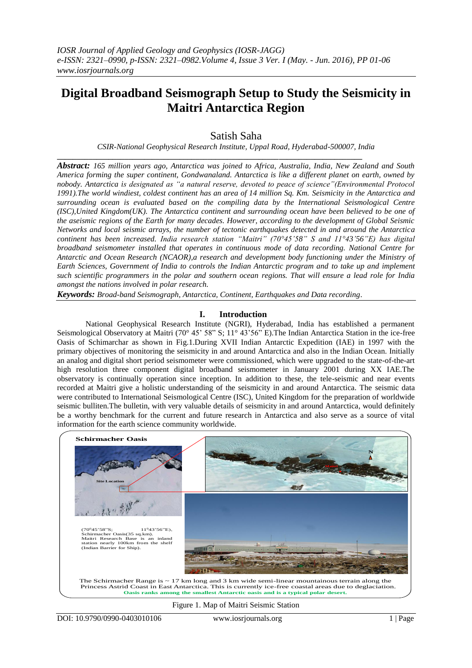# **Digital Broadband Seismograph Setup to Study the Seismicity in Maitri Antarctica Region**

Satish Saha

*CSIR-National Geophysical Research Institute, Uppal Road, Hyderabad-500007, India*

*Abstract: 165 million years ago, Antarctica was joined to Africa, Australia, India, New Zealand and South America forming the super continent, Gondwanaland. Antarctica is like a different planet on earth, owned by nobody. Antarctica is designated as "a natural reserve, devoted to peace of science"(Environmental Protocol 1991).The world windiest, coldest continent has an area of 14 million Sq. Km. Seismicity in the Antarctica and surrounding ocean is evaluated based on the compiling data by the International Seismological Centre (ISC),United Kingdom(UK). The Antarctica continent and surrounding ocean have been believed to be one of the aseismic regions of the Earth for many decades. However, according to the development of Global Seismic Networks and local seismic arrays, the number of tectonic earthquakes detected in and around the Antarctica continent has been increased. India research station "Maitri" (70°45'58" S and 11°43'56"E) has digital broadband seismometer installed that operates in continuous mode of data recording. National Centre for Antarctic and Ocean Research (NCAOR),a research and development body functioning under the Ministry of Earth Sciences, Government of India to controls the Indian Antarctic program and to take up and implement such scientific programmers in the polar and southern ocean regions. That will ensure a lead role for India amongst the nations involved in polar research.*

*Keywords: Broad-band Seismograph, Antarctica, Continent, Earthquakes and Data recording.*

**\_\_\_\_\_\_\_\_\_\_\_\_\_\_\_\_\_\_\_\_\_\_\_\_\_\_\_\_\_\_\_\_\_\_\_\_\_\_\_\_\_\_\_\_\_\_\_\_\_\_\_\_\_\_\_\_\_\_\_\_\_\_\_\_\_\_\_\_\_\_\_\_\_\_\_\_\_**

## **I. Introduction**

National Geophysical Research Institute (NGRI), Hyderabad, India has established a permanent Seismological Observatory at Maitri (70° 45' 58" S; 11° 43'56" E).The Indian Antarctica Station in the ice-free Oasis of Schimarchar as shown in Fig.1.During XVII Indian Antarctic Expedition (IAE) in 1997 with the primary objectives of monitoring the seismicity in and around Antarctica and also in the Indian Ocean. Initially an analog and digital short period seismometer were commissioned, which were upgraded to the state-of-the-art high resolution three component digital broadband seismometer in January 2001 during XX IAE.The observatory is continually operation since inception. In addition to these, the tele-seismic and near events recorded at Maitri give a holistic understanding of the seismicity in and around Antarctica. The seismic data were contributed to International Seismological Centre (ISC), United Kingdom for the preparation of worldwide seismic bulliten.The bulletin, with very valuable details of seismicity in and around Antarctica, would definitely be a worthy benchmark for the current and future research in Antarctica and also serve as a source of vital information for the earth science community worldwide.



### Figure 1. Map of Maitri Seismic Station

DOI: 10.9790/0990-0403010106 www.iosrjournals.org 1 | Page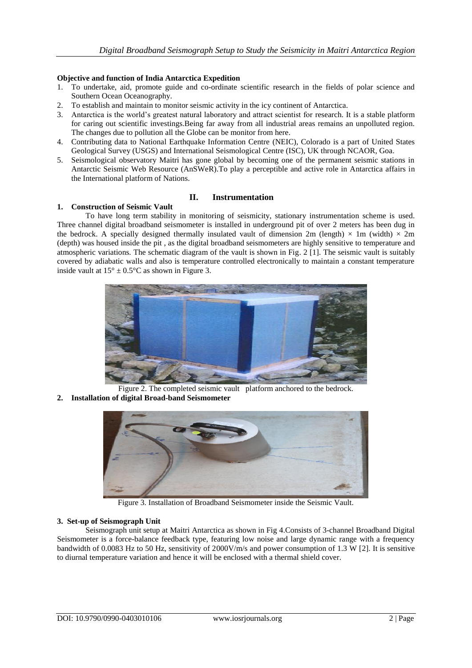### **Objective and function of India Antarctica Expedition**

- 1. To undertake, aid, promote guide and co-ordinate scientific research in the fields of polar science and Southern Ocean Oceanography.
- 2. To establish and maintain to monitor seismic activity in the icy continent of Antarctica.
- 3. Antarctica is the world's greatest natural laboratory and attract scientist for research. It is a stable platform for caring out scientific investings.Being far away from all industrial areas remains an unpolluted region. The changes due to pollution all the Globe can be monitor from here.
- 4. Contributing data to National Earthquake Information Centre (NEIC), Colorado is a part of United States Geological Survey (USGS) and International Seismological Centre (ISC), UK through NCAOR, Goa.
- 5. Seismological observatory Maitri has gone global by becoming one of the permanent seismic stations in Antarctic Seismic Web Resource (AnSWeR).To play a perceptible and active role in Antarctica affairs in the International platform of Nations.

# **II. Instrumentation**

### **1. Construction of Seismic Vault**

To have long term stability in monitoring of seismicity, stationary instrumentation scheme is used. Three channel digital broadband seismometer is installed in underground pit of over 2 meters has been dug in the bedrock. A specially designed thermally insulated vault of dimension 2m (length)  $\times$  1m (width)  $\times$  2m (depth) was housed inside the pit , as the digital broadband seismometers are highly sensitive to temperature and atmospheric variations. The schematic diagram of the vault is shown in Fig. 2 [1]. The seismic vault is suitably covered by adiabatic walls and also is temperature controlled electronically to maintain a constant temperature inside vault at  $15^{\circ} \pm 0.5^{\circ}$ C as shown in Figure 3.



- Figure 2. The completed seismic vault platform anchored to the bedrock.
- **2. Installation of digital Broad-band Seismometer**



Figure 3. Installation of Broadband Seismometer inside the Seismic Vault.

## **3. Set-up of Seismograph Unit**

Seismograph unit setup at Maitri Antarctica as shown in Fig 4.Consists of 3-channel Broadband Digital Seismometer is a force-balance feedback type, featuring low noise and large dynamic range with a frequency bandwidth of 0.0083 Hz to 50 Hz, sensitivity of 2000V/m/s and power consumption of 1.3 W [2]. It is sensitive to diurnal temperature variation and hence it will be enclosed with a thermal shield cover.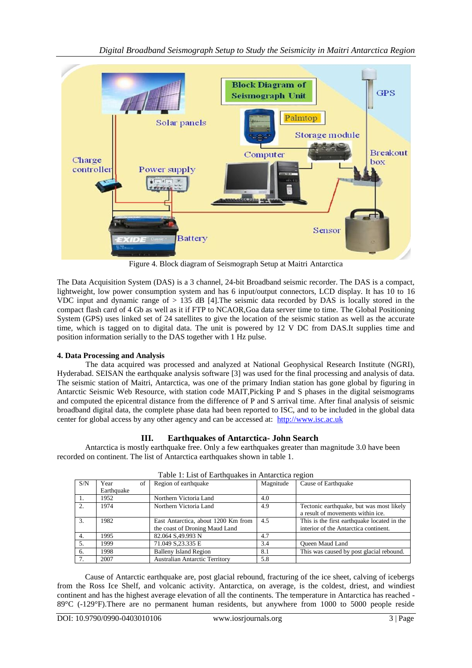

Figure 4. Block diagram of Seismograph Setup at Maitri Antarctica

The Data Acquisition System (DAS) is a 3 channel, 24-bit Broadband seismic recorder. The DAS is a compact, lightweight, low power consumption system and has 6 input/output connectors, LCD display. It has 10 to 16 VDC input and dynamic range of  $> 135$  dB [4]. The seismic data recorded by DAS is locally stored in the compact flash card of 4 Gb as well as it if FTP to NCAOR,Goa data server time to time. The Global Positioning System (GPS) uses linked set of 24 satellites to give the location of the seismic station as well as the accurate time, which is tagged on to digital data. The unit is powered by 12 V DC from DAS.It supplies time and position information serially to the DAS together with 1 Hz pulse.

# **4. Data Processing and Analysis**

The data acquired was processed and analyzed at National Geophysical Research Institute (NGRI), Hyderabad. SEISAN the earthquake analysis software [3] was used for the final processing and analysis of data. The seismic station of Maitri, Antarctica, was one of the primary Indian station has gone global by figuring in Antarctic Seismic Web Resource, with station code MAIT,Picking P and S phases in the digital seismograms and computed the epicentral distance from the difference of P and S arrival time. After final analysis of seismic broadband digital data, the complete phase data had been reported to ISC, and to be included in the global data center for global access by any other agency and can be accessed at: [http://www.isc.ac.uk](http://www.isc.ac.uk/)

# **III. Earthquakes of Antarctica- John Search**

Antarctica is mostly earthquake free. Only a few earthquakes greater than magnitude 3.0 have been recorded on continent. The list of Antarctica earthquakes shown in table 1.

| Tuote 1, Enst of Earling autos in Financifea region |            |    |                                       |           |                                             |  |  |  |
|-----------------------------------------------------|------------|----|---------------------------------------|-----------|---------------------------------------------|--|--|--|
| S/N                                                 | Year       | of | Region of earthquake                  | Magnitude | Cause of Earthquake                         |  |  |  |
|                                                     | Earthquake |    |                                       |           |                                             |  |  |  |
|                                                     | 1952       |    | Northern Victoria Land                | 4.0       |                                             |  |  |  |
|                                                     | 1974       |    | Northern Victoria Land                | 4.9       | Tectonic earthquake, but was most likely    |  |  |  |
|                                                     |            |    |                                       |           | a result of movements within ice.           |  |  |  |
| 3.                                                  | 1982       |    | East Antarctica, about 1200 Km from   | 4.5       | This is the first earthquake located in the |  |  |  |
|                                                     |            |    | the coast of Droning Maud Land        |           | interior of the Antarctica continent.       |  |  |  |
| $\overline{4}$ .                                    | 1995       |    | 82.064 S, 49.993 N                    | 4.7       |                                             |  |  |  |
|                                                     | 1999       |    | 71.049 S.23.335 E                     | 3.4       | <b>Oueen Maud Land</b>                      |  |  |  |
| 6.                                                  | 1998       |    | <b>Balleny Island Region</b>          | 8.1       | This was caused by post glacial rebound.    |  |  |  |
|                                                     | 2007       |    | <b>Australian Antarctic Territory</b> | 5.8       |                                             |  |  |  |

| Table 1: List of Earthquakes in Antarctica region |  |  |
|---------------------------------------------------|--|--|

Cause of Antarctic earthquake are, post glacial rebound, fracturing of the ice sheet, calving of icebergs from the Ross Ice Shelf, and volcanic activity. Antarctica, on average, is the coldest, driest, and windiest continent and has the highest average elevation of all the continents. The temperature in Antarctica has reached - 89°C (-129°F).There are no permanent human residents, but anywhere from 1000 to 5000 people reside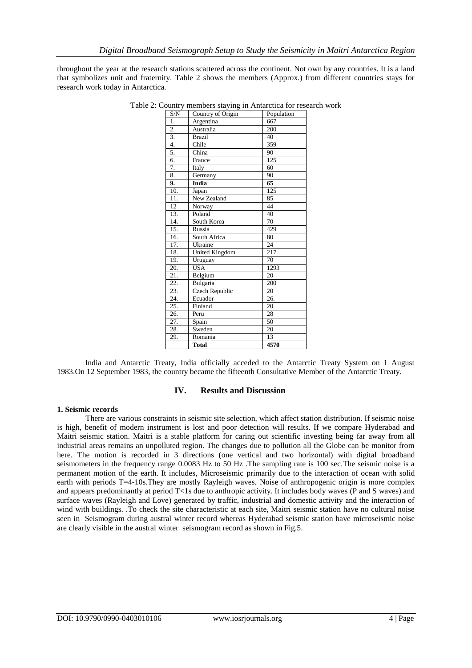throughout the year at the research stations scattered across the continent. Not own by any countries. It is a land that symbolizes unit and fraternity. Table 2 shows the members (Approx.) from different countries stays for research work today in Antarctica.

| S/N               | Country of Origin     | Population      |
|-------------------|-----------------------|-----------------|
| 1.                | Argentina             | 667             |
| $\overline{2}$ .  | Australia             | 200             |
| 3.                | <b>Brazil</b>         | 40              |
| 4.                | Chile                 | 359             |
| 5.                | China                 | 90              |
| 6.                | France                | 125             |
| 7.                | Italy                 | 60              |
| 8.                | Germany               | 90              |
| 9.                | India                 | 65              |
| 10.               | Japan                 | 125             |
| 11.               | New Zealand           | 85              |
| 12                | Norway                | 44              |
| 13.               | Poland                | 40              |
| 14.               | South Korea           | 70              |
| 15.               | Russia                | 429             |
| 16.               | South Africa          | 80              |
| 17.               | Ukraine               | $\overline{24}$ |
| 18.               | <b>United Kingdom</b> | 217             |
| 19.               | Uruguay               | 70              |
| 20.               | <b>USA</b>            | 1293            |
| 21.               | Belgium               | 20              |
| $\overline{22}$ . | Bulgaria              | 200             |
| 23.               | Czech Republic        | 20              |
| 24.               | Ecuador               | 26.             |
| 25.               | Finland               | 20              |
| 26.               | Peru                  | 28              |
| 27.               | Spain                 | 50              |
| 28.               | Sweden                | 20              |
| 29.               | Romania               | 13              |
|                   | <b>Total</b>          | 4570            |
|                   |                       |                 |

Table 2: Country members staying in Antarctica for research work

India and Antarctic Treaty, India officially acceded to the Antarctic Treaty System on 1 August 1983.On 12 September 1983, the country became the fifteenth Consultative Member of the Antarctic Treaty.

### **IV. Results and Discussion**

### **1. Seismic records**

There are various constraints in seismic site selection, which affect station distribution. If seismic noise is high, benefit of modern instrument is lost and poor detection will results. If we compare Hyderabad and Maitri seismic station. Maitri is a stable platform for caring out scientific investing being far away from all industrial areas remains an unpolluted region. The changes due to pollution all the Globe can be monitor from here. The motion is recorded in 3 directions (one vertical and two horizontal) with digital broadband seismometers in the frequency range 0.0083 Hz to 50 Hz .The sampling rate is 100 sec.The seismic noise is a permanent motion of the earth. It includes, Microseismic primarily due to the interaction of ocean with solid earth with periods T=4-10s.They are mostly Rayleigh waves. Noise of anthropogenic origin is more complex and appears predominantly at period T<1s due to anthropic activity. It includes body waves (P and S waves) and surface waves (Rayleigh and Love) generated by traffic, industrial and domestic activity and the interaction of wind with buildings. .To check the site characteristic at each site, Maitri seismic station have no cultural noise seen in Seismogram during austral winter record whereas Hyderabad seismic station have microseismic noise are clearly visible in the austral winter seismogram record as shown in Fig.5.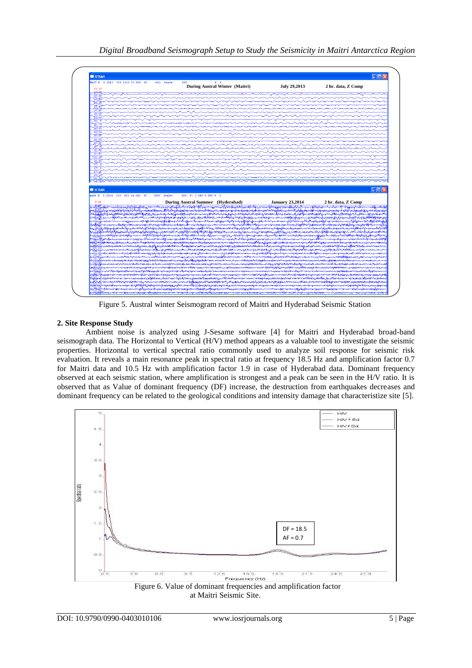

Figure 5. Austral winter Seismogram record of Maitri and Hyderabad Seismic Station

### **2. Site Response Study**

Ambient noise is analyzed using J-Sesame software [4] for Maitri and Hyderabad broad-band seismograph data. The Horizontal to Vertical (H/V) method appears as a valuable tool to investigate the seismic properties. Horizontal to vertical spectral ratio commonly used to analyze soil response for seismic risk evaluation. It reveals a main resonance peak in spectral ratio at frequency 18.5 Hz and amplification factor 0.7 for Maitri data and 10.5 Hz with amplification factor 1.9 in case of Hyderabad data. Dominant frequency observed at each seismic station, where amplification is strongest and a peak can be seen in the H/V ratio. It is observed that as Value of dominant frequency (DF) increase, the destruction from earthquakes decreases and dominant frequency can be related to the geological conditions and intensity damage that characteristize site [5].



at Maitri Seismic Site.